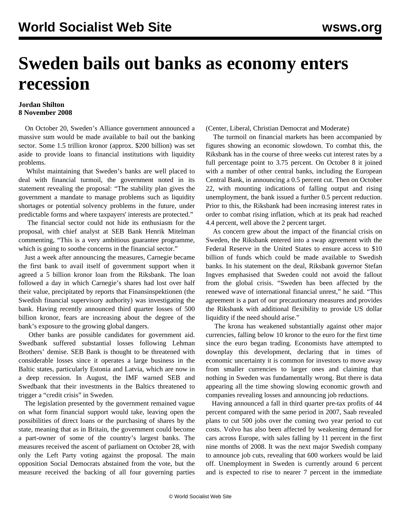## **Sweden bails out banks as economy enters recession**

## **Jordan Shilton 8 November 2008**

 On October 20, Sweden's Alliance government announced a massive sum would be made available to bail out the banking sector. Some 1.5 trillion kronor (approx. \$200 billion) was set aside to provide loans to financial institutions with liquidity problems.

 Whilst maintaining that Sweden's banks are well placed to deal with financial turmoil, the government noted in its statement revealing the proposal: "The stability plan gives the government a mandate to manage problems such as liquidity shortages or potential solvency problems in the future, under predictable forms and where taxpayers' interests are protected."

 The financial sector could not hide its enthusiasm for the proposal, with chief analyst at SEB Bank Henrik Mitelman commenting, "This is a very ambitious guarantee programme, which is going to soothe concerns in the financial sector."

 Just a week after announcing the measures, Carnegie became the first bank to avail itself of government support when it agreed a 5 billion kronor loan from the Riksbank. The loan followed a day in which Carnegie's shares had lost over half their value, precipitated by reports that Finansinspektionen (the Swedish financial supervisory authority) was investigating the bank. Having recently announced third quarter losses of 500 billion kronor, fears are increasing about the degree of the bank's exposure to the growing global dangers.

 Other banks are possible candidates for government aid. Swedbank suffered substantial losses following Lehman Brothers' demise. SEB Bank is thought to be threatened with considerable losses since it operates a large business in the Baltic states, particularly Estonia and Latvia, which are now in a deep recession. In August, the IMF warned SEB and Swedbank that their investments in the Baltics threatened to trigger a "credit crisis" in Sweden.

 The legislation presented by the government remained vague on what form financial support would take, leaving open the possibilities of direct loans or the purchasing of shares by the state, meaning that as in Britain, the government could become a part-owner of some of the country's largest banks. The measures received the ascent of parliament on October 28, with only the Left Party voting against the proposal. The main opposition Social Democrats abstained from the vote, but the measure received the backing of all four governing parties

(Center, Liberal, Christian Democrat and Moderate)

 The turmoil on financial markets has been accompanied by figures showing an economic slowdown. To combat this, the Riksbank has in the course of three weeks cut interest rates by a full percentage point to 3.75 percent. On October 8 it joined with a number of other central banks, including the European Central Bank, in announcing a 0.5 percent cut. Then on October 22, with mounting indications of falling output and rising unemployment, the bank issued a further 0.5 percent reduction. Prior to this, the Riksbank had been increasing interest rates in order to combat rising inflation, which at its peak had reached 4.4 percent, well above the 2 percent target.

 As concern grew about the impact of the financial crisis on Sweden, the Riksbank entered into a swap agreement with the Federal Reserve in the United States to ensure access to \$10 billion of funds which could be made available to Swedish banks. In his statement on the deal, Riksbank governor Stefan Ingves emphasised that Sweden could not avoid the fallout from the global crisis. "Sweden has been affected by the renewed wave of international financial unrest," he said. "This agreement is a part of our precautionary measures and provides the Riksbank with additional flexibility to provide US dollar liquidity if the need should arise."

 The krona has weakened substantially against other major currencies, falling below 10 kronor to the euro for the first time since the euro began trading. Economists have attempted to downplay this development, declaring that in times of economic uncertainty it is common for investors to move away from smaller currencies to larger ones and claiming that nothing in Sweden was fundamentally wrong. But there is data appearing all the time showing slowing economic growth and companies revealing losses and announcing job reductions.

 Having announced a fall in third quarter pre-tax profits of 44 percent compared with the same period in 2007, Saab revealed plans to cut 500 jobs over the coming two year period to cut costs. Volvo has also been affected by weakening demand for cars across Europe, with sales falling by 11 percent in the first nine months of 2008. It was the next major Swedish company to announce job cuts, revealing that 600 workers would be laid off. Unemployment in Sweden is currently around 6 percent and is expected to rise to nearer 7 percent in the immediate